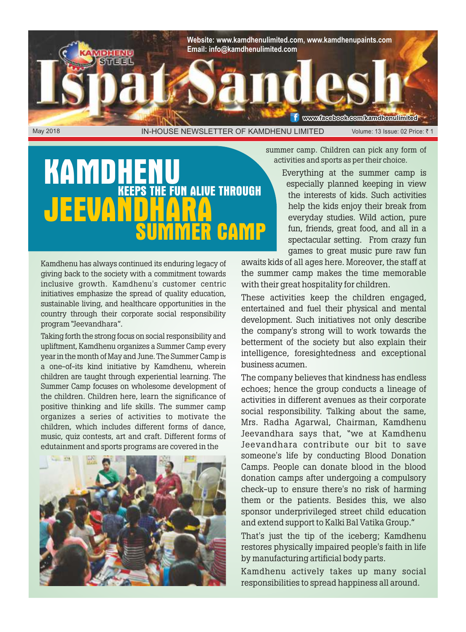

## KAMDH **KE FUN ALIVE THROUGH JEEUAN MER CAMP**

summer camp. Children can pick any form of activities and sports as per their choice.

> Everything at the summer camp is especially planned keeping in view the interests of kids. Such activities help the kids enjoy their break from everyday studies. Wild action, pure fun, friends, great food, and all in a spectacular setting. From crazy fun games to great music pure raw fun

Kamdhenu has always continued its enduring legacy of giving back to the society with a commitment towards inclusive growth. Kamdhenu's customer centric initiatives emphasize the spread of quality education, sustainable living, and healthcare opportunities in the country through their corporate social responsibility program "Jeevandhara".

Taking forth the strong focus on social responsibility and upliftment, Kamdhenu organizes a Summer Camp every year in the month of May and June. The Summer Camp is a one-of-its kind initiative by Kamdhenu, wherein children are taught through experiential learning. The Summer Camp focuses on wholesome development of the children. Children here, learn the significance of positive thinking and life skills. The summer camp organizes a series of activities to motivate the children, which includes different forms of dance, music, quiz contests, art and craft. Different forms of edutainment and sports programs are covered in the



awaits kids of all ages here. Moreover, the staff at the summer camp makes the time memorable with their great hospitality for children.

These activities keep the children engaged, entertained and fuel their physical and mental development. Such initiatives not only describe the company's strong will to work towards the betterment of the society but also explain their intelligence, foresightedness and exceptional business acumen.

The company believes that kindness has endless echoes; hence the group conducts a lineage of activities in different avenues as their corporate social responsibility. Talking about the same, Mrs. Radha Agarwal, Chairman, Kamdhenu Jeevandhara says that, "we at Kamdhenu Jeevandhara contribute our bit to save someone's life by conducting Blood Donation Camps. People can donate blood in the blood donation camps after undergoing a compulsory check-up to ensure there's no risk of harming them or the patients. Besides this, we also sponsor underprivileged street child education and extend support to Kalki Bal Vatika Group."

That's just the tip of the iceberg; Kamdhenu restores physically impaired people's faith in life by manufacturing artificial body parts.

Kamdhenu actively takes up many social responsibilities to spread happiness all around.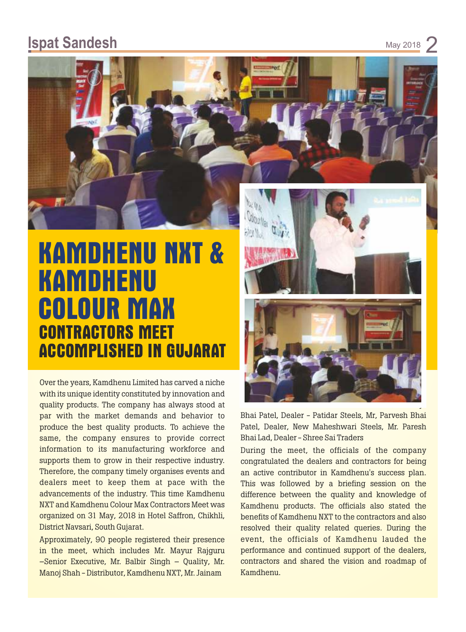#### **Ispat Sandesh**

May 2018



# **KAMDHENU NXT & KAMDHENU COLOUR MAX CONTRACTORS MEET ACCOMPLISHED IN GUJARAT**

Over the years, Kamdhenu Limited has carved a niche with its unique identity constituted by innovation and quality products. The company has always stood at par with the market demands and behavior to produce the best quality products. To achieve the same, the company ensures to provide correct information to its manufacturing workforce and supports them to grow in their respective industry. Therefore, the company timely organises events and dealers meet to keep them at pace with the advancements of the industry. This time Kamdhenu NXT and Kamdhenu Colour Max Contractors Meet was organized on 31 May, 2018 in Hotel Saffron, Chikhli, District Navsari, South Gujarat.

Approximately, 90 people registered their presence in the meet, which includes Mr. Mayur Rajguru –Senior Executive, Mr. Balbir Singh – Quality, Mr. Manoj Shah - Distributor, Kamdhenu NXT, Mr. Jainam



Bhai Patel, Dealer - Patidar Steels, Mr, Parvesh Bhai Patel, Dealer, New Maheshwari Steels, Mr. Paresh Bhai Lad, Dealer - Shree Sai Traders

During the meet, the officials of the company congratulated the dealers and contractors for being an active contributor in Kamdhenu's success plan. This was followed by a briefing session on the difference between the quality and knowledge of Kamdhenu products. The officials also stated the benefits of Kamdhenu NXT to the contractors and also resolved their quality related queries. During the event, the officials of Kamdhenu lauded the performance and continued support of the dealers, contractors and shared the vision and roadmap of Kamdhenu.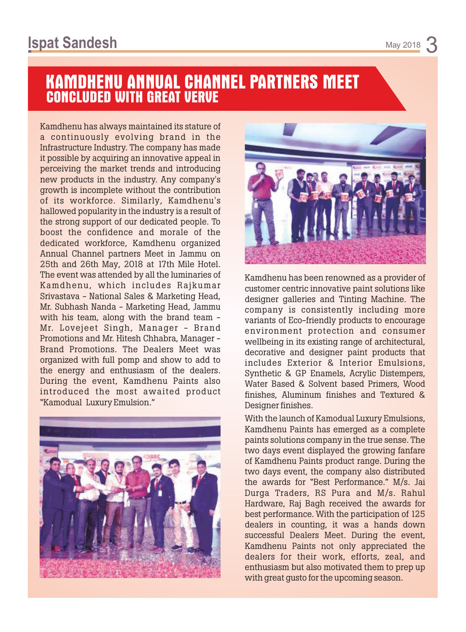## **KAMDHENU ANNUAL CHANNEL PARTNERS MEET CONCLUDED WITH GREAT VERVE**

Kamdhenu has always maintained its stature of a continuously evolving brand in the Infrastructure Industry. The company has made it possible by acquiring an innovative appeal in perceiving the market trends and introducing new products in the industry. Any company's growth is incomplete without the contribution of its workforce. Similarly, Kamdhenu's hallowed popularity in the industry is a result of the strong support of our dedicated people. To boost the confidence and morale of the dedicated workforce, Kamdhenu organized Annual Channel partners Meet in Jammu on 25th and 26th May, 2018 at 17th Mile Hotel. The event was attended by all the luminaries of Kamdhenu, which includes Rajkumar Srivastava - National Sales & Marketing Head, Mr. Subhash Nanda - Marketing Head, Jammu with his team, along with the brand team -Mr. Lovejeet Singh, Manager - Brand Promotions and Mr. Hitesh Chhabra, Manager - Brand Promotions. The Dealers Meet was organized with full pomp and show to add to the energy and enthusiasm of the dealers. During the event, Kamdhenu Paints also introduced the most awaited product "Kamodual Luxury Emulsion."





Kamdhenu has been renowned as a provider of customer centric innovative paint solutions like designer galleries and Tinting Machine. The company is consistently including more variants of Eco-friendly products to encourage environment protection and consumer wellbeing in its existing range of architectural, decorative and designer paint products that includes Exterior & Interior Emulsions, Synthetic & GP Enamels, Acrylic Distempers, Water Based & Solvent based Primers, Wood finishes, Aluminum finishes and Textured & Designer finishes.

With the launch of Kamodual Luxury Emulsions, Kamdhenu Paints has emerged as a complete paints solutions company in the true sense. The two days event displayed the growing fanfare of Kamdhenu Paints product range. During the two days event, the company also distributed the awards for "Best Performance." M/s. Jai Durga Traders, RS Pura and M/s. Rahul Hardware, Raj Bagh received the awards for best performance. With the participation of 125 dealers in counting, it was a hands down successful Dealers Meet. During the event, Kamdhenu Paints not only appreciated the dealers for their work, efforts, zeal, and enthusiasm but also motivated them to prep up with great gusto for the upcoming season.